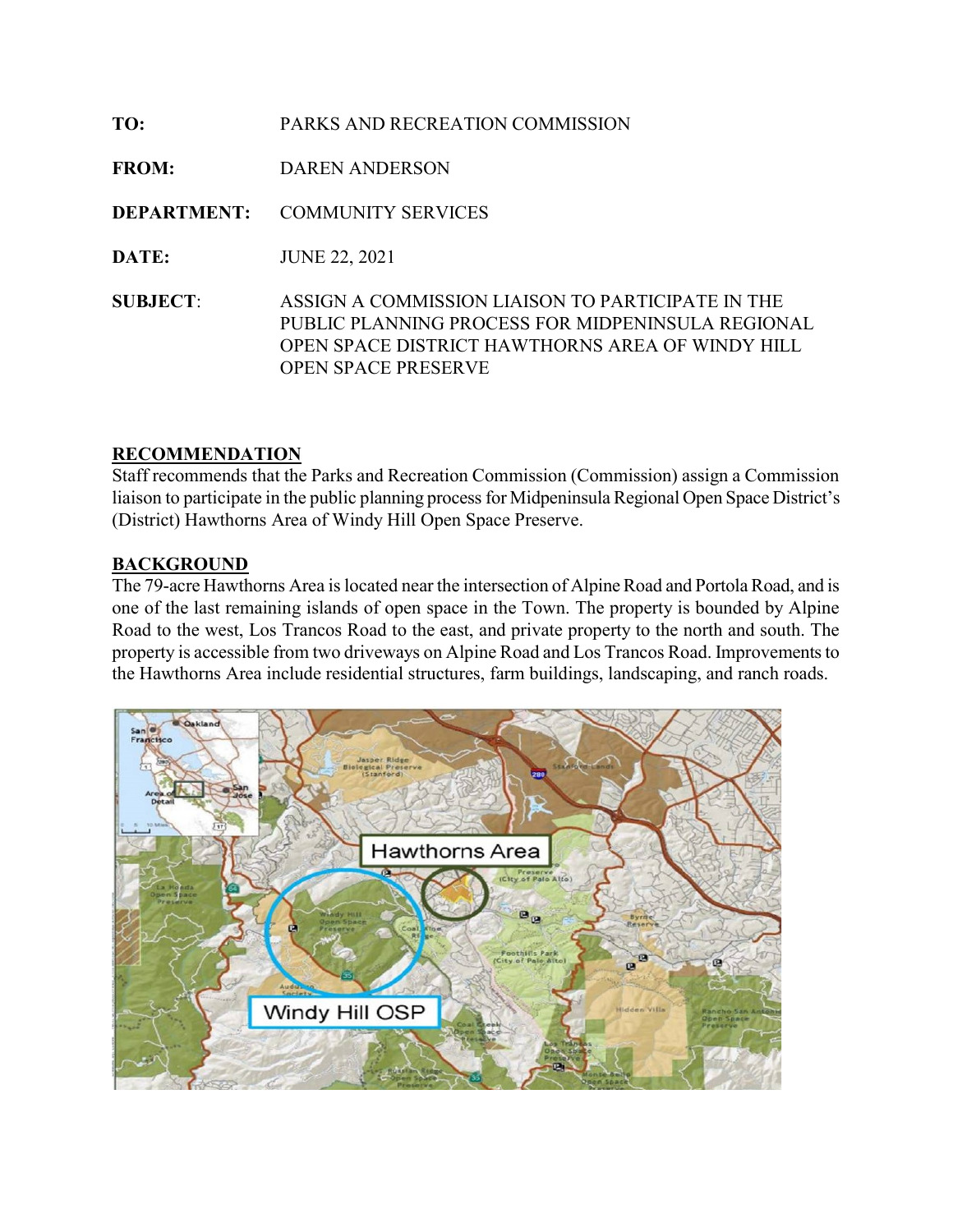| TO:                | PARKS AND RECREATION COMMISSION                                                                                                                                                          |
|--------------------|------------------------------------------------------------------------------------------------------------------------------------------------------------------------------------------|
| <b>FROM:</b>       | DAREN ANDERSON                                                                                                                                                                           |
| <b>DEPARTMENT:</b> | <b>COMMUNITY SERVICES</b>                                                                                                                                                                |
| DATE:              | <b>JUNE 22, 2021</b>                                                                                                                                                                     |
| <b>SUBJECT:</b>    | ASSIGN A COMMISSION LIAISON TO PARTICIPATE IN THE<br>PUBLIC PLANNING PROCESS FOR MIDPENINSULA REGIONAL<br>OPEN SPACE DISTRICT HAWTHORNS AREA OF WINDY HILL<br><b>OPEN SPACE PRESERVE</b> |

## RECOMMENDATION

Staff recommends that the Parks and Recreation Commission (Commission) assign a Commission liaison to participate in the public planning process for Midpeninsula Regional Open Space District's (District) Hawthorns Area of Windy Hill Open Space Preserve.

## **BACKGROUND**

The 79-acre Hawthorns Area is located near the intersection of Alpine Road and Portola Road, and is one of the last remaining islands of open space in the Town. The property is bounded by Alpine Road to the west, Los Trancos Road to the east, and private property to the north and south. The property is accessible from two driveways on Alpine Road and Los Trancos Road. Improvements to the Hawthorns Area include residential structures, farm buildings, landscaping, and ranch roads.

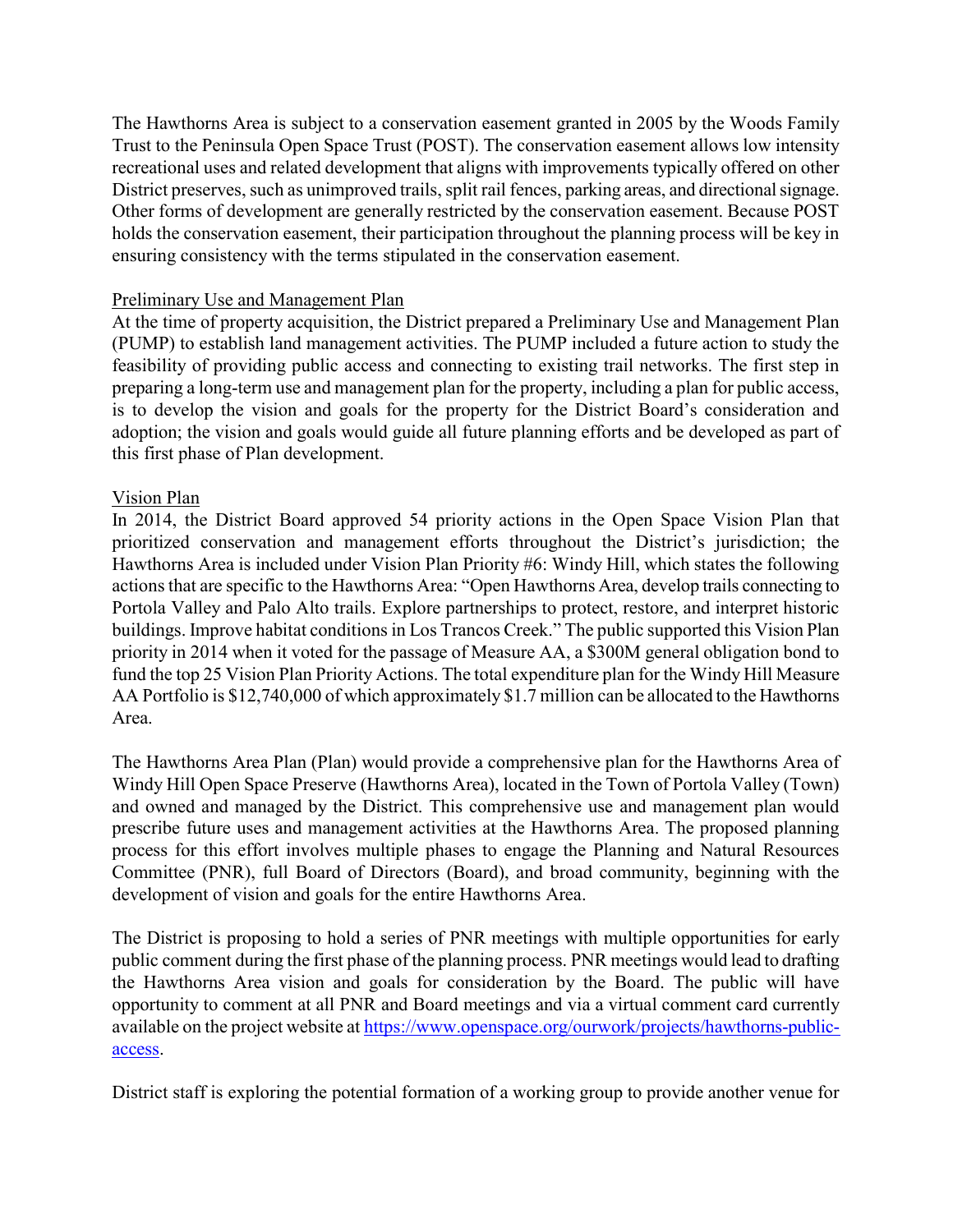The Hawthorns Area is subject to a conservation easement granted in 2005 by the Woods Family Trust to the Peninsula Open Space Trust (POST). The conservation easement allows low intensity recreational uses and related development that aligns with improvements typically offered on other District preserves, such as unimproved trails, split rail fences, parking areas, and directional signage. Other forms of development are generally restricted by the conservation easement. Because POST holds the conservation easement, their participation throughout the planning process will be key in ensuring consistency with the terms stipulated in the conservation easement.

### Preliminary Use and Management Plan

At the time of property acquisition, the District prepared a Preliminary Use and Management Plan (PUMP) to establish land management activities. The PUMP included a future action to study the feasibility of providing public access and connecting to existing trail networks. The first step in preparing a long-term use and management plan for the property, including a plan for public access, is to develop the vision and goals for the property for the District Board's consideration and adoption; the vision and goals would guide all future planning efforts and be developed as part of this first phase of Plan development.

#### Vision Plan

In 2014, the District Board approved 54 priority actions in the Open Space Vision Plan that prioritized conservation and management efforts throughout the District's jurisdiction; the Hawthorns Area is included under Vision Plan Priority #6: Windy Hill, which states the following actions that are specific to the Hawthorns Area: "Open Hawthorns Area, develop trails connecting to Portola Valley and Palo Alto trails. Explore partnerships to protect, restore, and interpret historic buildings. Improve habitat conditions in Los Trancos Creek." The public supported this Vision Plan priority in 2014 when it voted for the passage of Measure AA, a \$300M general obligation bond to fund the top 25 Vision Plan Priority Actions. The total expenditure plan for the Windy Hill Measure AA Portfolio is \$12,740,000 of which approximately \$1.7 million can be allocated to the Hawthorns Area.

The Hawthorns Area Plan (Plan) would provide a comprehensive plan for the Hawthorns Area of Windy Hill Open Space Preserve (Hawthorns Area), located in the Town of Portola Valley (Town) and owned and managed by the District. This comprehensive use and management plan would prescribe future uses and management activities at the Hawthorns Area. The proposed planning process for this effort involves multiple phases to engage the Planning and Natural Resources Committee (PNR), full Board of Directors (Board), and broad community, beginning with the development of vision and goals for the entire Hawthorns Area.

The District is proposing to hold a series of PNR meetings with multiple opportunities for early public comment during the first phase of the planning process. PNR meetings would lead to drafting the Hawthorns Area vision and goals for consideration by the Board. The public will have opportunity to comment at all PNR and Board meetings and via a virtual comment card currently available on the project website at https://www.openspace.org/ourwork/projects/hawthorns-publicaccess.

District staff is exploring the potential formation of a working group to provide another venue for